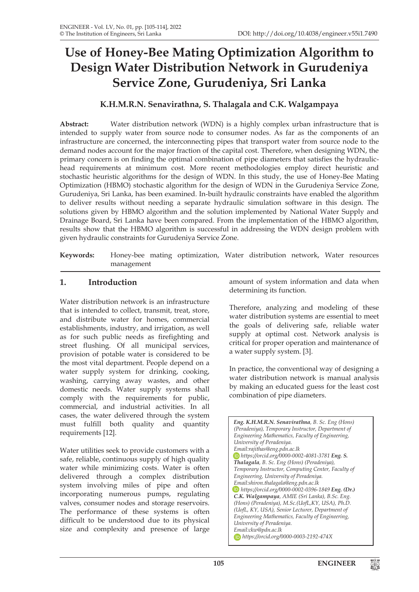# **Use of Honey-Bee Mating Optimization Algorithm to Design Water Distribution Network in Gurudeniya Service Zone, Gurudeniya, Sri Lanka**

# **K.H.M.R.N. Senavirathna, S. Thalagala and C.K. Walgampaya**

**Abstract:** Water distribution network (WDN) is a highly complex urban infrastructure that is intended to supply water from source node to consumer nodes. As far as the components of an infrastructure are concerned, the interconnecting pipes that transport water from source node to the demand nodes account for the major fraction of the capital cost. Therefore, when designing WDN, the primary concern is on finding the optimal combination of pipe diameters that satisfies the hydraulichead requirements at minimum cost. More recent methodologies employ direct heuristic and stochastic heuristic algorithms for the design of WDN. In this study, the use of Honey-Bee Mating Optimization (HBMO) stochastic algorithm for the design of WDN in the Gurudeniya Service Zone, Gurudeniya, Sri Lanka, has been examined. In-built hydraulic constraints have enabled the algorithm to deliver results without needing a separate hydraulic simulation software in this design. The solutions given by HBMO algorithm and the solution implemented by National Water Supply and Drainage Board, Sri Lanka have been compared. From the implementation of the HBMO algorithm, results show that the HBMO algorithm is successful in addressing the WDN design problem with given hydraulic constraints for Gurudeniya Service Zone.

**Keywords:** Honey-bee mating optimization, Water distribution network, Water resources management

# **1. Introduction**

Water distribution network is an infrastructure that is intended to collect, transmit, treat, store, and distribute water for homes, commercial establishments, industry, and irrigation, as well as for such public needs as firefighting and street flushing. Of all municipal services, provision of potable water is considered to be the most vital department. People depend on a water supply system for drinking, cooking, washing, carrying away wastes, and other domestic needs. Water supply systems shall comply with the requirements for public, commercial, and industrial activities. In all cases, the water delivered through the system must fulfill both quality and quantity requirements [12].

Water utilities seek to provide customers with a safe, reliable, continuous supply of high quality water while minimizing costs. Water is often delivered through a complex distribution system involving miles of pipe and often incorporating numerous pumps, regulating valves, consumer nodes and storage reservoirs. The performance of these systems is often difficult to be understood due to its physical size and complexity and presence of large

amount of system information and data when determining its function.

Therefore, analyzing and modeling of these water distribution systems are essential to meet the goals of delivering safe, reliable water supply at optimal cost. Network analysis is critical for proper operation and maintenance of a water supply system. [3].

In practice, the conventional way of designing a water distribution network is manual analysis by making an educated guess for the least cost combination of pipe diameters.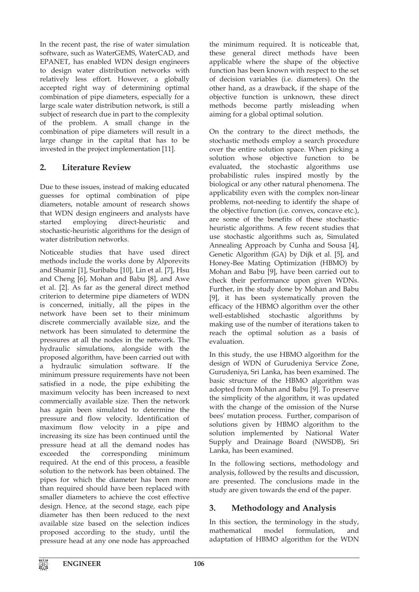In the recent past, the rise of water simulation software, such as WaterGEMS, WaterCAD, and EPANET, has enabled WDN design engineers to design water distribution networks with relatively less effort. However, a globally accepted right way of determining optimal combination of pipe diameters, especially for a large scale water distribution network, is still a subject of research due in part to the complexity of the problem. A small change in the combination of pipe diameters will result in a large change in the capital that has to be invested in the project implementation [11].

# **2. Literature Review**

Due to these issues, instead of making educated guesses for optimal combination of pipe diameters, notable amount of research shows that WDN design engineers and analysts have started employing direct-heuristic and stochastic-heuristic algorithms for the design of water distribution networks.

Noticeable studies that have used direct methods include the works done by Alporevits and Shamir [1], Suribabu [10], Lin et al. [7], Hsu and Cheng [6], Mohan and Babu [8], and Awe et al. [2]. As far as the general direct method criterion to determine pipe diameters of WDN is concerned, initially, all the pipes in the network have been set to their minimum discrete commercially available size, and the network has been simulated to determine the pressures at all the nodes in the network. The hydraulic simulations, alongside with the proposed algorithm, have been carried out with a hydraulic simulation software. If the minimum pressure requirements have not been satisfied in a node, the pipe exhibiting the maximum velocity has been increased to next commercially available size. Then the network has again been simulated to determine the pressure and flow velocity. Identification of maximum flow velocity in a pipe and increasing its size has been continued until the pressure head at all the demand nodes has exceeded the corresponding minimum required. At the end of this process, a feasible solution to the network has been obtained. The pipes for which the diameter has been more than required should have been replaced with smaller diameters to achieve the cost effective design. Hence, at the second stage, each pipe diameter has then been reduced to the next available size based on the selection indices proposed according to the study, until the pressure head at any one node has approached

the minimum required. It is noticeable that, these general direct methods have been applicable where the shape of the objective function has been known with respect to the set of decision variables (i.e. diameters). On the other hand, as a drawback, if the shape of the objective function is unknown, these direct methods become partly misleading when aiming for a global optimal solution.

On the contrary to the direct methods, the stochastic methods employ a search procedure over the entire solution space. When picking a solution whose objective function to be evaluated, the stochastic algorithms use probabilistic rules inspired mostly by the biological or any other natural phenomena. The applicability even with the complex non-linear problems, not-needing to identify the shape of the objective function (i.e. convex, concave etc.), are some of the benefits of these stochasticheuristic algorithms. A few recent studies that use stochastic algorithms such as, Simulated Annealing Approach by Cunha and Sousa [4], Genetic Algorithm (GA) by Dijk et al. [5], and Honey-Bee Mating Optimization (HBMO) by Mohan and Babu [9], have been carried out to check their performance upon given WDNs. Further, in the study done by Mohan and Babu [9], it has been systematically proven the efficacy of the HBMO algorithm over the other well-established stochastic algorithms by making use of the number of iterations taken to reach the optimal solution as a basis of evaluation.

In this study, the use HBMO algorithm for the design of WDN of Gurudeniya Service Zone, Gurudeniya, Sri Lanka, has been examined. The basic structure of the HBMO algorithm was adopted from Mohan and Babu [9]. To preserve the simplicity of the algorithm, it was updated with the change of the omission of the Nurse bees' mutation process. Further, comparison of solutions given by HBMO algorithm to the solution implemented by National Water Supply and Drainage Board (NWSDB), Sri Lanka, has been examined.

In the following sections, methodology and analysis, followed by the results and discussion, are presented. The conclusions made in the study are given towards the end of the paper.

# **3. Methodology and Analysis**

In this section, the terminology in the study, mathematical model formulation, and adaptation of HBMO algorithm for the WDN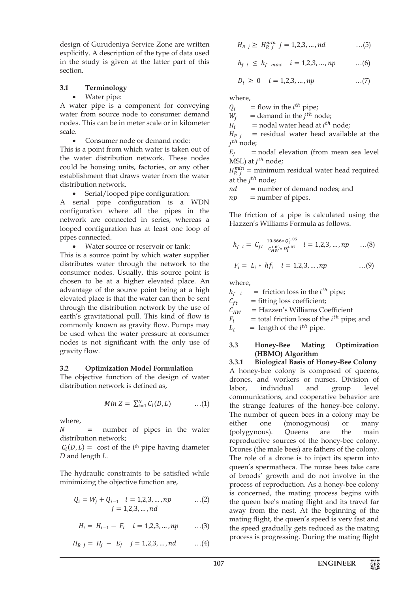design of Gurudeniya Service Zone are written explicitly. A description of the type of data used in the study is given at the latter part of this section.

# **3.1 Terminology**

### Water pipe:

A water pipe is a component for conveying water from source node to consumer demand nodes. This can be in meter scale or in kilometer scale.

Consumer node or demand node:

This is a point from which water is taken out of the water distribution network. These nodes could be housing units, factories, or any other establishment that draws water from the water distribution network.

Serial/looped pipe configuration:

A serial pipe configuration is a WDN configuration where all the pipes in the network are connected in series, whereas a looped configuration has at least one loop of pipes connected.

Water source or reservoir or tank:

This is a source point by which water supplier distributes water through the network to the consumer nodes. Usually, this source point is chosen to be at a higher elevated place. An advantage of the source point being at a high elevated place is that the water can then be sent through the distribution network by the use of earth's gravitational pull. This kind of flow is commonly known as gravity flow. Pumps may be used when the water pressure at consumer nodes is not significant with the only use of gravity flow.

# **3.2 Optimization Model Formulation**

The objective function of the design of water distribution network is defined as,

$$
Min Z = \sum_{i=1}^{N} C_i(D, L) \qquad \qquad ...(1)
$$

where,

 $N =$  number of pipes in the water distribution network;

 $C_i(D, L) = \text{cost of the } i^{\text{th}}$  pipe having diameter *D* and length *L*.

The hydraulic constraints to be satisfied while minimizing the objective function are,

$$
Q_i = W_j + Q_{i-1} \quad i = 1, 2, 3, ..., np \quad ...(2)
$$
  

$$
j = 1, 2, 3, ..., nd
$$

$$
H_i = H_{i-1} - F_i \quad i = 1, 2, 3, \dots, np \qquad \dots (3)
$$

$$
H_{R j} = H_j - E_j \quad j = 1, 2, 3, ..., nd \quad ...(4)
$$

$$
H_{R\ j} \ge\ H^{min}_{R\ j}\ j=1,2,3,\ldots,nd \qquad \qquad \ldots (5)
$$

$$
h_{f\ i} \ \leq \ h_{f\ max} \quad i = 1, 2, 3, \dots, np \qquad \dots (6)
$$

$$
D_i \ge 0 \quad i = 1, 2, 3, ..., np \quad ...(7)
$$

where,

 $Q_i$  = flow in the *i*<sup>th</sup> pipe;<br>  $W_i$  = demand in the *i*<sup>th</sup> n

 $W_j$  = demand in the  $j^{t\bar{h}}$  node;<br>  $H_i$  = nodal water head at  $i^{th}$ 

 $H_i$  = nodal water head at *i*<sup>th</sup> node;<br>  $H_{R i}$  = residual water head availab

 = residual water head available at the  $j^{th}$  node;<br> $E_i$  =

 = nodal elevation (from mean sea level  $MSL$ ) at  $i<sup>th</sup>$  node;

 $H_{R}^{min}$  = minimum residual water head required at the  $i^{th}$  node;

 $nd$  = number of demand nodes; and<br>  $np$  = number of pipes.

= number of pipes.

The friction of a pipe is calculated using the Hazzen's Williams Formula as follows.

$$
h_{f\ i} = C_{ft} \frac{10.666 \cdot Q_t^{1.85}}{C_{HW}^{1.85} \cdot D_t^{4.87}} \quad i = 1, 2, 3, \dots, np \qquad \dots (8)
$$

$$
F_i = L_i * h f_i \quad i = 1, 2, 3, ..., np \quad ...(9)
$$

where,

 $h_{f i}$  = friction loss in the *i*<sup>th</sup> pipe;<br>  $C_{f t}$  = fitting loss coefficient;  $C_{ft}$  = fitting loss coefficient;<br> $C_{HW}$  = Hazzen's Williams Co  $C_{HW}$  = Hazzen's Williams Coefficient<br> $F_i$  = total friction loss of the *i*<sup>th</sup> pipe

 $F_i$  = total friction loss of the *i*<sup>th</sup> pipe; and<br>  $L_i$  = length of the *i*<sup>th</sup> pipe.  $=$  length of the  $i^{th}$  pipe.

### **3.3 Honey-Bee Mating Optimization (HBMO) Algorithm**

**3.3.1 Biological Basis of Honey-Bee Colony** A honey-bee colony is composed of queens,

drones, and workers or nurses. Division of labor, individual and group level communications, and cooperative behavior are the strange features of the honey-bee colony. The number of queen bees in a colony may be either one (monogynous) or many (polygynous). Queens are the main reproductive sources of the honey-bee colony. Drones (the male bees) are fathers of the colony. The role of a drone is to inject its sperm into queen's spermatheca. The nurse bees take care of broods' growth and do not involve in the process of reproduction. As a honey-bee colony is concerned, the mating process begins with the queen bee's mating flight and its travel far away from the nest. At the beginning of the mating flight, the queen's speed is very fast and the speed gradually gets reduced as the mating process is progressing. During the mating flight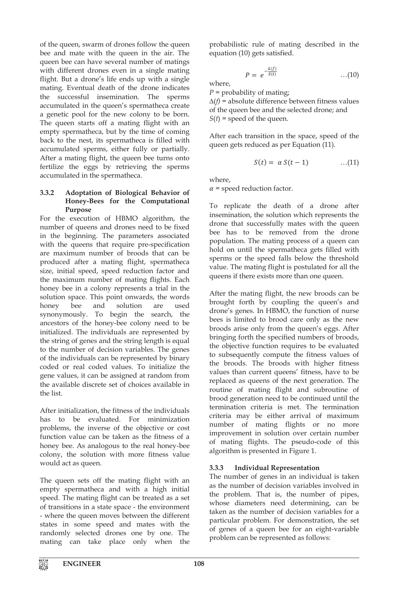of the queen, swarm of drones follow the queen bee and mate with the queen in the air. The queen bee can have several number of matings with different drones even in a single mating flight. But a drone's life ends up with a single mating. Eventual death of the drone indicates the successful insemination. The sperms accumulated in the queen's spermatheca create a genetic pool for the new colony to be born. The queen starts off a mating flight with an empty spermatheca, but by the time of coming back to the nest, its spermatheca is filled with accumulated sperms, either fully or partially. After a mating flight, the queen bee turns onto fertilize the eggs by retrieving the sperms accumulated in the spermatheca.

### **3.3.2 Adoptation of Biological Behavior of Honey-Bees for the Computational Purpose**

For the execution of HBMO algorithm, the number of queens and drones need to be fixed in the beginning. The parameters associated with the queens that require pre-specification are maximum number of broods that can be produced after a mating flight, spermatheca size, initial speed, speed reduction factor and the maximum number of mating flights. Each honey bee in a colony represents a trial in the solution space. This point onwards, the words honey bee and solution are used synonymously. To begin the search, the ancestors of the honey-bee colony need to be initialized. The individuals are represented by the string of genes and the string length is equal to the number of decision variables. The genes of the individuals can be represented by binary coded or real coded values. To initialize the gene values, it can be assigned at random from the available discrete set of choices available in the list.

After initialization, the fitness of the individuals has to be evaluated. For minimization problems, the inverse of the objective or cost function value can be taken as the fitness of a honey bee. As analogous to the real honey-bee colony, the solution with more fitness value would act as queen.

The queen sets off the mating flight with an empty spermatheca and with a high initial speed. The mating flight can be treated as a set of transitions in a state space - the environment - where the queen moves between the different states in some speed and mates with the randomly selected drones one by one. The mating can take place only when the probabilistic rule of mating described in the equation (10) gets satisfied.

$$
= e^{-\frac{\Delta(f)}{S(t)}} \qquad \qquad \dots (10)
$$

where,

*P* = probability of mating;

 $\overline{P}$ 

∆(*f)* = absolute difference between fitness values of the queen bee and the selected drone; and  $S(t)$  = speed of the queen.

After each transition in the space, speed of the queen gets reduced as per Equation (11).

$$
S(t) = \alpha S(t-1) \qquad \qquad \dots (11)
$$

where,

 $\alpha$  = speed reduction factor.

To replicate the death of a drone after insemination, the solution which represents the drone that successfully mates with the queen bee has to be removed from the drone population. The mating process of a queen can hold on until the spermatheca gets filled with sperms or the speed falls below the threshold value. The mating flight is postulated for all the queens if there exists more than one queen.

After the mating flight, the new broods can be brought forth by coupling the queen's and drone's genes. In HBMO, the function of nurse bees is limited to brood care only as the new broods arise only from the queen's eggs. After bringing forth the specified numbers of broods, the objective function requires to be evaluated to subsequently compute the fitness values of the broods. The broods with higher fitness values than current queens' fitness, have to be replaced as queens of the next generation. The routine of mating flight and subroutine of brood generation need to be continued until the termination criteria is met. The termination criteria may be either arrival of maximum number of mating flights or no more improvement in solution over certain number of mating flights. The pseudo-code of this algorithm is presented in Figure 1.

# **3.3.3 Individual Representation**

The number of genes in an individual is taken as the number of decision variables involved in the problem. That is, the number of pipes, whose diameters need determining, can be taken as the number of decision variables for a particular problem. For demonstration, the set of genes of a queen bee for an eight-variable problem can be represented as follows: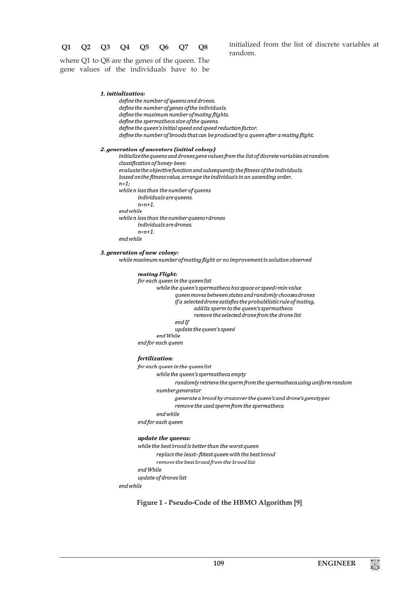### **Q1 Q2 Q3 Q4 Q5 Q6 Q7 Q8**

initialized from the list of discrete variables at random.

where Q1 to Q8 are the genes of the queen. The gene values of the individuals have to be

#### 1. initialization:

define the number of queens and drones. define the number of genes of the individuals. define the maximum number of mating flights. define the spermatheca size of the queens. define the queen's initial speed and speed reduction factor. define the number of broods that can be produced by a queen after a mating flight.

#### 2. generation of ancestors (initial colony)

initialize the queens and drones gene values from the list of discrete variables at random. classification of honey-bees: evaluate the objective function and subsequently the fitness of the individuals. based on the fitness value, arrange the individuals in an ascending order.  $n=1$ ; while n less than the number of queens individuals are queens.  $n=n+1$ . end while while n less than the number queens+drones individuals are drones.  $n=n+1$ . end while

#### 3. generation of new colony:

while maximum number of mating flight or no improvement in solution observed

#### mating Flight:

for each queen in the queen list

while the queen's spermatheca has space or speed>min value queen moves between states and randomly chooses drones if a selected drone satisfies the probabilistic rule of mating, add its sperm to the aueen's spermatheca remove the selected drone from the drone list end If update the queen's speed end While end for each queen

#### fertilization:

for each queen in the queen list

while the queen's spermatheca empty

randomly retrieve the sperm from the spermatheca using uniform random

numbergenerator

generate a brood by crossover the queen's and drone's genotypes

remove the used sperm from the spermatheca

end while

end for each queen

#### update the queens:

while the best brood is better than the worst queen replace the least-fittest queen with the best brood remove the best brood from the brood list end While update of drones list

end while

#### **Figure 1 - Pseudo-Code of the HBMO Algorithm [9]**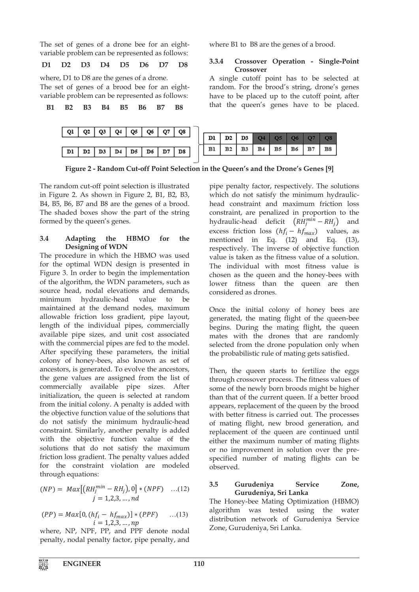The set of genes of a drone bee for an eightvariable problem can be represented as follows:

**D1 D2 D3 D4 D5 D6 D7 D8**

where, D1 to D8 are the genes of a drone.

The set of genes of a brood bee for an eightvariable problem can be represented as follows:

**B1 B2 B3 B4 B5 B6 B7 B8**



**3.3.4 Crossover Operation - Single-Point Crossover** 

where B1 to B8 are the genes of a brood.

A single cutoff point has to be selected at random. For the brood's string, drone's genes have to be placed up to the cutoff point, after that the queen's genes have to be placed.

|                             |  |  | D1   D2   D3   O4   O5   O6   O7   O8        |  |  |
|-----------------------------|--|--|----------------------------------------------|--|--|
| D3   D4   D5   D6   D7   D8 |  |  | $\mid$ B1   B2   B3   B4   B5   B6   B7   B8 |  |  |

**Figure 2 - Random Cut-off Point Selection in the Queen's and the Drone's Genes [9]** 

The random cut-off point selection is illustrated in Figure 2. As shown in Figure 2, B1, B2, B3, B4, B5, B6, B7 and B8 are the genes of a brood. The shaded boxes show the part of the string formed by the queen's genes.

# **3.4 Adapting the HBMO for the Designing of WDN**

The procedure in which the HBMO was used for the optimal WDN design is presented in Figure 3. In order to begin the implementation of the algorithm, the WDN parameters, such as source head, nodal elevations and demands, minimum hydraulic-head value to be maintained at the demand nodes, maximum allowable friction loss gradient, pipe layout, length of the individual pipes, commercially available pipe sizes, and unit cost associated with the commercial pipes are fed to the model. After specifying these parameters, the initial colony of honey-bees, also known as set of ancestors, is generated. To evolve the ancestors, the gene values are assigned from the list of commercially available pipe sizes. After initialization, the queen is selected at random from the initial colony. A penalty is added with the objective function value of the solutions that do not satisfy the minimum hydraulic-head constraint. Similarly, another penalty is added with the objective function value of the solutions that do not satisfy the maximum friction loss gradient. The penalty values added for the constraint violation are modeled through equations:

$$
(NP) = Max[(RH_j^{min} - RH_j), 0] * (NPF) \dots (12)
$$
  
  $j = 1,2,3, \dots, nd$ 

$$
(PP) = Max[0, (hfi - hfmax)] * (PPF) \qquad ...(13)
$$
  
 $i = 1,2,3,...,np$ 

where, NP, NPF, PP, and PPF denote nodal penalty, nodal penalty factor, pipe penalty, and

pipe penalty factor, respectively. The solutions which do not satisfy the minimum hydraulichead constraint and maximum friction loss constraint, are penalized in proportion to the hydraulic-head deficit  $(RH_j^{min} - RH_j)$  and excess friction loss  $(hf_i - hf_{max})$  values, as<br>mentioned in Eq. (12) and Eq. (13), mentioned in Eq.  $(12)$  and respectively. The inverse of objective function value is taken as the fitness value of a solution. The individual with most fitness value is chosen as the queen and the honey-bees with lower fitness than the queen are then considered as drones.

Once the initial colony of honey bees are generated, the mating flight of the queen-bee begins. During the mating flight, the queen mates with the drones that are randomly selected from the drone population only when the probabilistic rule of mating gets satisfied.

Then, the queen starts to fertilize the eggs through crossover process. The fitness values of some of the newly born broods might be higher than that of the current queen. If a better brood appears, replacement of the queen by the brood with better fitness is carried out. The processes of mating flight, new brood generation, and replacement of the queen are continued until either the maximum number of mating flights or no improvement in solution over the prespecified number of mating flights can be observed.

# **3.5 Gurudeniya Service Zone, Gurudeniya, Sri Lanka**

The Honey-bee Mating Optimization (HBMO) algorithm was tested using the water distribution network of Gurudeniya Service Zone, Gurudeniya, Sri Lanka.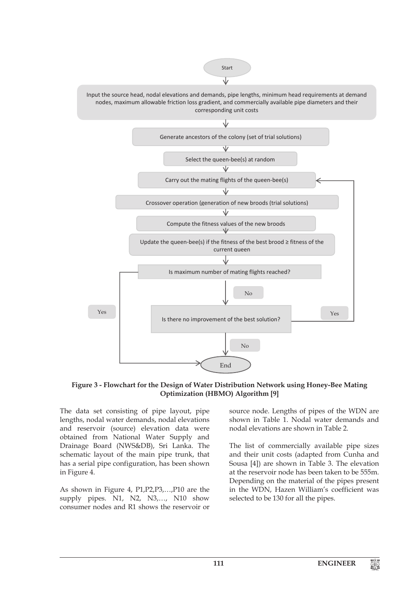

**Figure 3 - Flowchart for the Design of Water Distribution Network using Honey-Bee Mating Optimization (HBMO) Algorithm [9]**

The data set consisting of pipe layout, pipe lengths, nodal water demands, nodal elevations and reservoir (source) elevation data were obtained from National Water Supply and Drainage Board (NWS&DB), Sri Lanka. The schematic layout of the main pipe trunk, that has a serial pipe configuration, has been shown in Figure 4.

As shown in Figure 4, P1,P2,P3,…,P10 are the supply pipes. N1, N2, N3,..., N10 show consumer nodes and R1 shows the reservoir or

source node. Lengths of pipes of the WDN are shown in Table 1. Nodal water demands and nodal elevations are shown in Table 2.

The list of commercially available pipe sizes and their unit costs (adapted from Cunha and Sousa [4]) are shown in Table 3. The elevation at the reservoir node has been taken to be 555m. Depending on the material of the pipes present in the WDN, Hazen William's coefficient was selected to be 130 for all the pipes.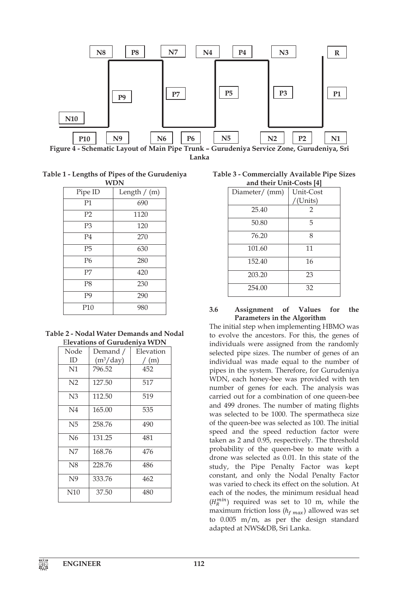

**Lanka**

**Table 1 - Lengths of Pipes of the Gurudeniya WDN**

| ,,,,,          |                |  |  |  |  |  |  |
|----------------|----------------|--|--|--|--|--|--|
| Pipe ID        | Length $/$ (m) |  |  |  |  |  |  |
| P1             | 690            |  |  |  |  |  |  |
| P <sub>2</sub> | 1120           |  |  |  |  |  |  |
| P <sub>3</sub> | 120            |  |  |  |  |  |  |
| P <sub>4</sub> | 270            |  |  |  |  |  |  |
| P <sub>5</sub> | 630            |  |  |  |  |  |  |
| P <sub>6</sub> | 280            |  |  |  |  |  |  |
| P <sub>7</sub> | 420            |  |  |  |  |  |  |
| P <sub>8</sub> | 230            |  |  |  |  |  |  |
| P <sub>9</sub> | 290            |  |  |  |  |  |  |
| P10            | 980            |  |  |  |  |  |  |

**Table 2 - Nodal Water Demands and Nodal** E**levations of Gurudeniya WDN**

| Node           | Demand /    | Elevation |
|----------------|-------------|-----------|
| ID             | $(m^3/day)$ | / (m)     |
| N1             | 796.52      | 452       |
| N <sub>2</sub> | 127.50      | 517       |
| N <sub>3</sub> | 112.50      | 519       |
| N <sub>4</sub> | 165.00      | 535       |
| N5             | 258.76      | 490       |
| N <sub>6</sub> | 131.25      | 481       |
| N7             | 168.76      | 476       |
| N8             | 228.76      | 486       |
| N <sub>9</sub> | 333.76      | 462       |
| N10            | 37.50       | 480       |

**Table 3 - Commercially Available Pipe Sizes and their Unit-Costs [4]**

| Diameter/ (mm) | Unit-Cost      |  |  |  |  |  |
|----------------|----------------|--|--|--|--|--|
|                | /(Units)       |  |  |  |  |  |
| 25.40          | $\mathfrak{D}$ |  |  |  |  |  |
| 50.80          | 5              |  |  |  |  |  |
| 76.20          | 8              |  |  |  |  |  |
| 101.60         | 11             |  |  |  |  |  |
| 152.40         | 16             |  |  |  |  |  |
| 203.20         | 23             |  |  |  |  |  |
| 254.00         | 32             |  |  |  |  |  |

### **3.6 Assignment of Values for the Parameters in the Algorithm**

The initial step when implementing HBMO was to evolve the ancestors. For this, the genes of individuals were assigned from the randomly selected pipe sizes. The number of genes of an individual was made equal to the number of pipes in the system. Therefore, for Gurudeniya WDN, each honey-bee was provided with ten number of genes for each. The analysis was carried out for a combination of one queen-bee and 499 drones. The number of mating flights was selected to be 1000. The spermatheca size of the queen-bee was selected as 100. The initial speed and the speed reduction factor were taken as 2 and 0.95, respectively. The threshold probability of the queen-bee to mate with a drone was selected as 0.01. In this state of the study, the Pipe Penalty Factor was kept constant, and only the Nodal Penalty Factor was varied to check its effect on the solution. At each of the nodes, the minimum residual head  $(H<sub>R</sub><sup>min</sup>)$  required was set to 10 m, while the maximum friction loss  $(h_{f max})$  allowed was set to 0.005 m/m, as per the design standard adapted at NWS&DB, Sri Lanka.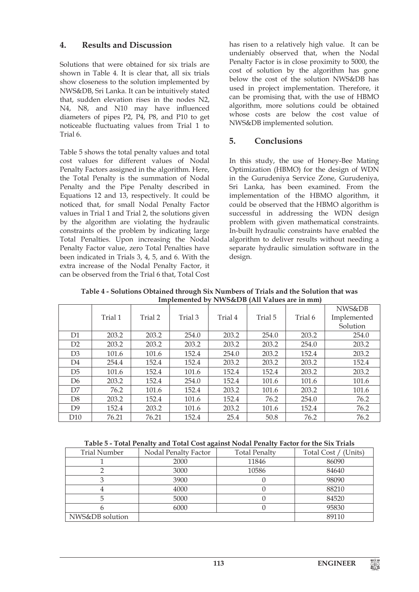# **4. Results and Discussion**

Solutions that were obtained for six trials are shown in Table 4. It is clear that, all six trials show closeness to the solution implemented by NWS&DB, Sri Lanka. It can be intuitively stated that, sudden elevation rises in the nodes N2, N4, N8, and N10 may have influenced diameters of pipes P2, P4, P8, and P10 to get noticeable fluctuating values from Trial 1 to Trial 6.

Table 5 shows the total penalty values and total cost values for different values of Nodal Penalty Factors assigned in the algorithm. Here, the Total Penalty is the summation of Nodal Penalty and the Pipe Penalty described in Equations 12 and 13, respectively. It could be noticed that, for small Nodal Penalty Factor values in Trial 1 and Trial 2, the solutions given by the algorithm are violating the hydraulic constraints of the problem by indicating large Total Penalties. Upon increasing the Nodal Penalty Factor value, zero Total Penalties have been indicated in Trials 3, 4, 5, and 6. With the extra increase of the Nodal Penalty Factor, it can be observed from the Trial 6 that, Total Cost

has risen to a relatively high value. It can be undeniably observed that, when the Nodal Penalty Factor is in close proximity to 5000, the cost of solution by the algorithm has gone below the cost of the solution NWS&DB has used in project implementation. Therefore, it can be promising that, with the use of HBMO algorithm, more solutions could be obtained whose costs are below the cost value of NWS&DB implemented solution.

# **5. Conclusions**

In this study, the use of Honey-Bee Mating Optimization (HBMO) for the design of WDN in the Gurudeniya Service Zone, Gurudeniya, Sri Lanka, has been examined. From the implementation of the HBMO algorithm, it could be observed that the HBMO algorithm is successful in addressing the WDN design problem with given mathematical constraints. In-built hydraulic constraints have enabled the algorithm to deliver results without needing a separate hydraulic simulation software in the design.

| Implemented by NWSⅅ (All Values are in mm) |         |         |         |         |         |         |             |
|--------------------------------------------|---------|---------|---------|---------|---------|---------|-------------|
|                                            |         |         |         |         |         |         | NWS&DB      |
|                                            | Trial 1 | Trial 2 | Trial 3 | Trial 4 | Trial 5 | Trial 6 | Implemented |
|                                            |         |         |         |         |         |         | Solution    |
| D <sub>1</sub>                             | 203.2   | 203.2   | 254.0   | 203.2   | 254.0   | 203.2   | 254.0       |
| D2                                         | 203.2   | 203.2   | 203.2   | 203.2   | 203.2   | 254.0   | 203.2       |
| D <sub>3</sub>                             | 101.6   | 101.6   | 152.4   | 254.0   | 203.2   | 152.4   | 203.2       |
| D <sub>4</sub>                             | 254.4   | 152.4   | 152.4   | 203.2   | 203.2   | 203.2   | 152.4       |
| D <sub>5</sub>                             | 101.6   | 152.4   | 101.6   | 152.4   | 152.4   | 203.2   | 203.2       |
| D6                                         | 203.2   | 152.4   | 254.0   | 152.4   | 101.6   | 101.6   | 101.6       |
| D7                                         | 76.2    | 101.6   | 152.4   | 203.2   | 101.6   | 203.2   | 101.6       |
| D8                                         | 203.2   | 152.4   | 101.6   | 152.4   | 76.2    | 254.0   | 76.2        |
| D <sub>9</sub>                             | 152.4   | 203.2   | 101.6   | 203.2   | 101.6   | 152.4   | 76.2        |
| D <sub>10</sub>                            | 76.21   | 76.21   | 152.4   | 25.4    | 50.8    | 76.2    | 76.2        |

**Table 4 - Solutions Obtained through Six Numbers of Trials and the Solution that was Implemented by NWS&DB (All Values are in mm)**

| <b>Trial Number</b> | $\cdot$<br>Nodal Penalty Factor | <b>Total Penalty</b> | Total Cost / (Units) |
|---------------------|---------------------------------|----------------------|----------------------|
|                     | 2000                            | 11846                | 86090                |
|                     | 3000                            | 10586                | 84640                |
|                     | 3900                            |                      | 98090                |
|                     | 4000                            |                      | 88210                |
|                     | 5000                            |                      | 84520                |
|                     | 6000                            |                      | 95830                |
| NWS&DB solution     |                                 |                      | 89110                |